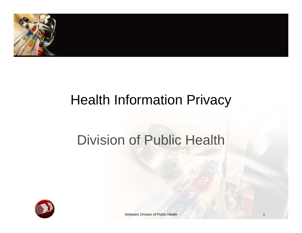

## Health Information Privacy

## Division of Public Health



Delaware Division of Public Health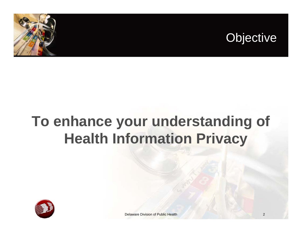

## **To enhance your understanding of Health Information Privacy**

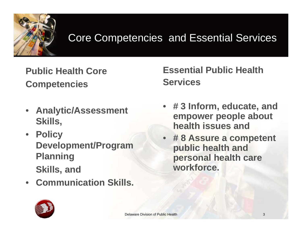

#### Core Competencies and Essential Services

**Public Health CoreCompetencies**

- **Analytic/Assessment Skills,**
- **Policy Development/Program Planning Skills, and**
- **Communication Skills.**

**Essential Public Health Services**

- **# 3 Inform, educate, and empower people about health issues and**
- **# 8 Assure a competent public health and personal health care workforce.**

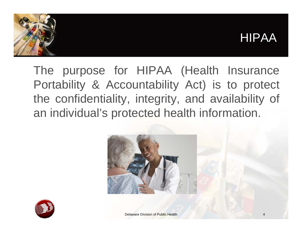#### HIPAA



The purpose for HIPAA (Health Insurance Portability & Accountability Act) is to protect the confidentiality, integrity, and availability of an individual's protected health information.





Delaware Division of Public Health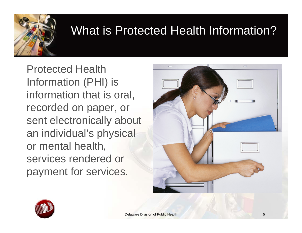

### What is Protected Health Information?

Protected Health Information (PHI) is information that is oral, recorded on paper, or sent electronically about an individual's physical or mental health, services rendered or payment for services.



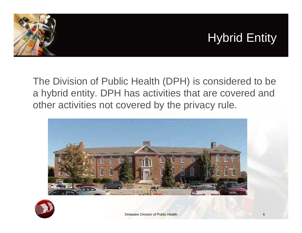

### Hybrid Entity

The Division of Public Health (DPH) is considered to be a hybrid entity. DPH has activities that are covered and other activities not covered by the privacy rule.



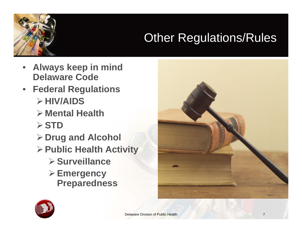

### **Other Regulations/Rules**

- **Always keep in mind Delaware Code**
- **Federal Regulations** ¾**HIV/AIDS**
	- ¾ **Mental Health**
	- ¾**STD**
	- ¾**Drug and Alcohol**
	- ¾**Public Health Activity**
		- ¾**Surveillance**
		- ¾**Emergency Preparedness**



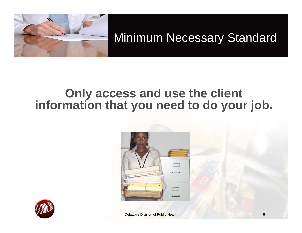

Minimum Necessary Standard

#### **Only access and use the client information that you need to do your job.**





**Delaware Division of Public Health 8 and 8 and 9 and 9 and 9 and 9 and 9 and 9 and 9 and 9 and 9 and 9 and 9 and 9 and 9 and 9 and 9 and 9 and 9 and 9 and 9 and 9 and 9 and 9 and 9 and 9 and 9 and 9 and 9 and 9 and 9 and**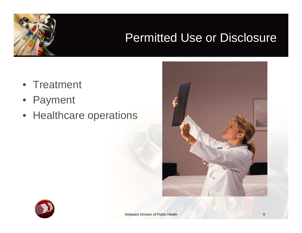### Permitted Use or Disclosure

- Treatment
- Payment
- Healthcare operations



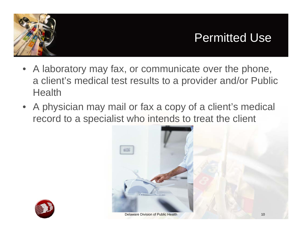



- A laboratory may fax, or communicate over the phone, a client's medical test results to a provider and/or Public **Health**
- A physician may mail or fax a copy of a client's medical record to a specialist who intends to treat the client



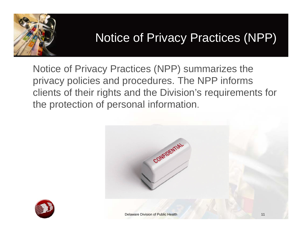

### Notice of Privacy Practices (NPP)

Notice of Privacy Practices (NPP) summarizes the privacy policies and procedures. The NPP informs clients of their rights and the Division's requirements for the protection of personal information.





**Delaware Division of Public Health 11 Contract 11 11 Contract 11 11**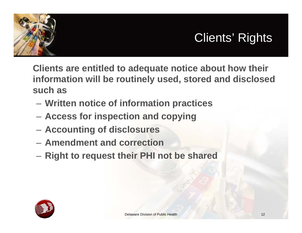



**Clients are entitled to adequate notice about how their information will be routinely used, stored and disclosed such as**

- **Written notice of information practices**
- **Access for inspection and copying**
- **Accounting of disclosures**
- **Amendment and correction**
- **Right to request their PHI not be shared**

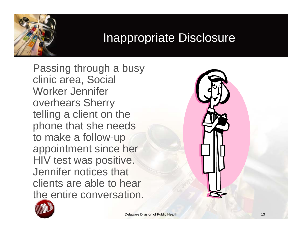### Inappropriate Disclosure

Passing through a busy clinic area, Social Worker Jennifer overhears Sherry telling a client on the phone that she needs to make a follow-up appointment since her HIV test was positive. Jennifer notices that clients are able to hear the entire conversation.



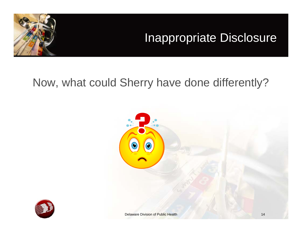### Inappropriate Disclosure



#### Now, what could Sherry have done differently?



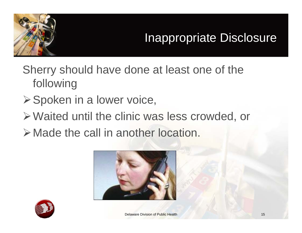

### Inappropriate Disclosure

- Sherry should have done at least one of the following
- **≻Spoken in a lower voice,**
- ¾Waited until the clinic was less crowded, or
- ¾Made the call in another location.



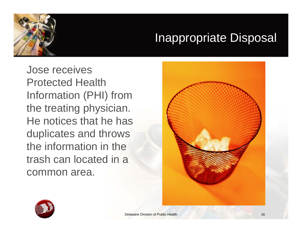

### Inappropriate Disposal

Jose receives Protected Health Information (PHI) from the treating physician. He notices that he has duplicates and throws the information in the trash can located in a common area.



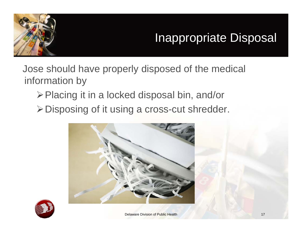

### Inappropriate Disposal

Jose should have properly disposed of the medical information by

¾Placing it in a locked disposal bin, and/or

¾Disposing of it using a cross-cut shredder.



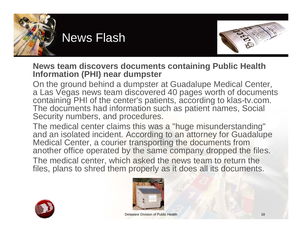



#### **News team discovers documents containing Public Health Information (PHI) near dumpster**

On the ground behind a dumpster at Guadalupe Medical Center, a Las Vegas news team discovered 40 pages worth of documents containing PHI of the center's patients, according to klas-tv.com. The documents had information such as patient names, Social Security numbers, and procedures.

The medical center claims this was a "huge misunderstanding" and an isolated incident. According to an attorney for Guadalupe Medical Center, a courier transporting the documents from another office operated by the same company dropped the files.

The medical center, which asked the news team to return the files, plans to shred them properly as it does all its documents.



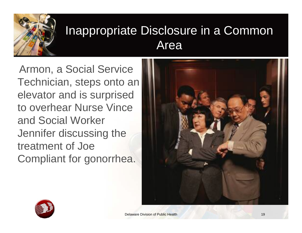

### Inappropriate Disclosure in a Common Area

Armon, a Social Service Technician, steps onto an elevator and is surprised to overhear Nurse Vince and Social Worker Jennifer discussing the treatment of Joe Compliant for gonorrhea.



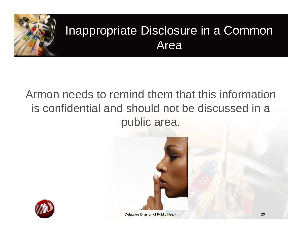

### Inappropriate Disclosure in a Common Area

#### Armon needs to remind them that this information is confidential and should not be discussed in a public area.





**1/6/2009 Delaware Division of Public Health 2009 Public Health 2009 Public Health 2009 Public Health 2009**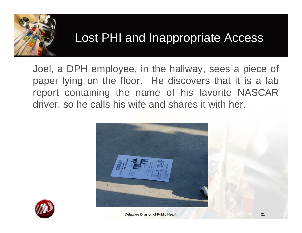

### Lost PHI and Inappropriate Access

Joel, <sup>a</sup> DPH employee, in the hallway, sees <sup>a</sup> piece of paper lying on the floor. He discovers that it is <sup>a</sup> lab report containing the name of his favorite NASCAR driver, so he calls his wife and shares it with her.



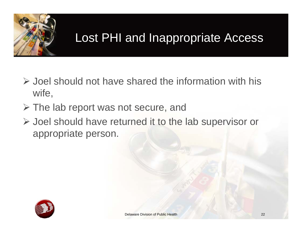

### Lost PHI and Inappropriate Access

- ¾ Joel should not have shared the information with his wife,
- ¾ The lab report was not secure, and
- ¾ Joel should have returned it to the lab supervisor or appropriate person.

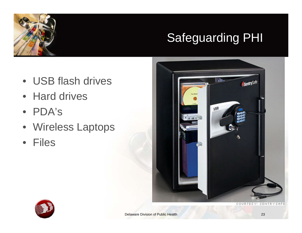### Safeguarding PHI

- USB flash drives
- Hard drives
- PDA's
- Wireless Laptops
- Files



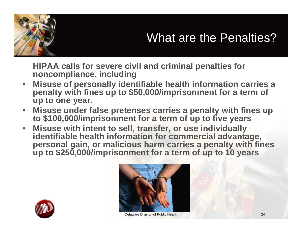

**HIPAA calls for severe civil and criminal penalties for noncompliance, including**

- • **Misuse of personally identifiable health information carries a penalty with fines up to \$50,000/imprisonment for a term of up to one year.**
- •**Misuse under false pretenses carries a penalty with fines up to \$100,000/imprisonment for a term of up to five years**
- • **Misuse with intent to sell, transfer, or use individually identifiable health information for commercial advantage,** iup to \$250,000/imprisonment for a term of up to 10 years





Delaware Division of Public Health 24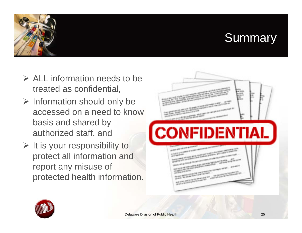### **Summary**

- $\triangleright$  ALL information needs to be treated as confidential,
- $\triangleright$  Information should only be accessed on a need to knowbasis and shared by authorized staff, and
- $\triangleright$  It is your responsibility to protect all information and report any misuse of protected health information.



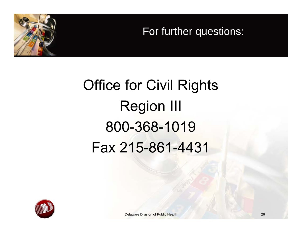For further questions:

# Office for Civil RightsRegion III800-368-1019Fax 215-861-4431

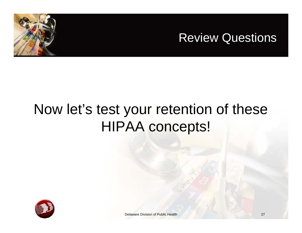



## Now let's test your retention of these HIPAA concepts!

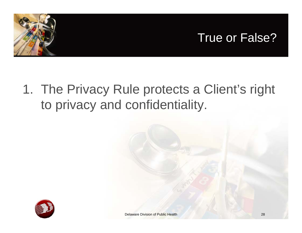

#### True or False?

### 1. The Privacy Rule protects a Client's right to privacy and confidentiality.

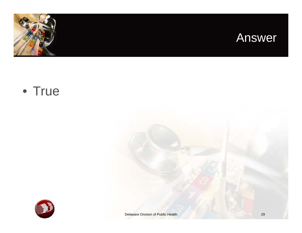



#### • True

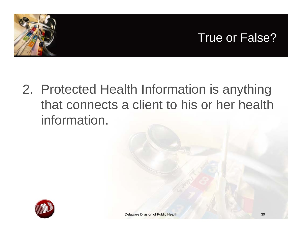

### 2. Protected Health Information is anything that connects a client to his or her health information.

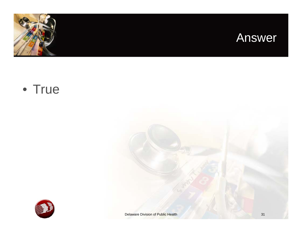



#### • True

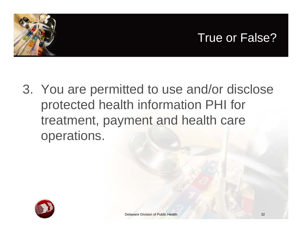



3. You are permitted to use and/or disclose protected health information PHI for treatment, payment and health care operations.

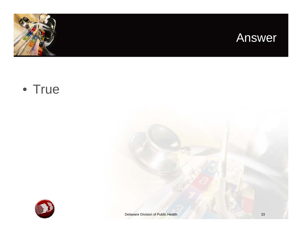



#### • True

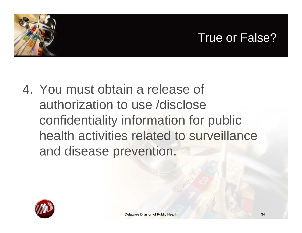### True or False?



4. You must obtain a release of authorization to use /disclose confidentiality information for public health activities related to surveillance and disease prevention.

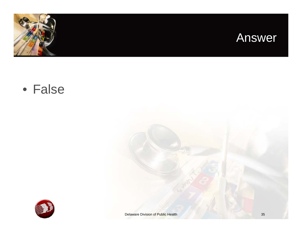



• False

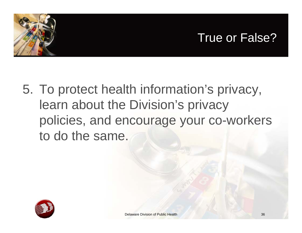### True or False?



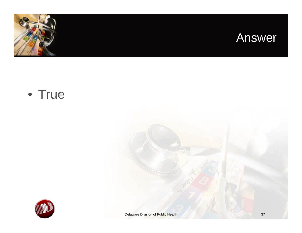



#### • True

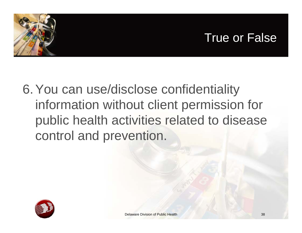



6.You can use/disclose confidentiality information without client permission for public health activities related to disease control and prevention.

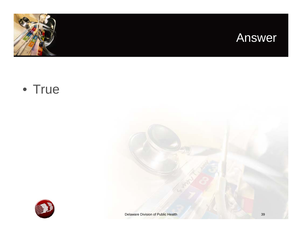



#### • True